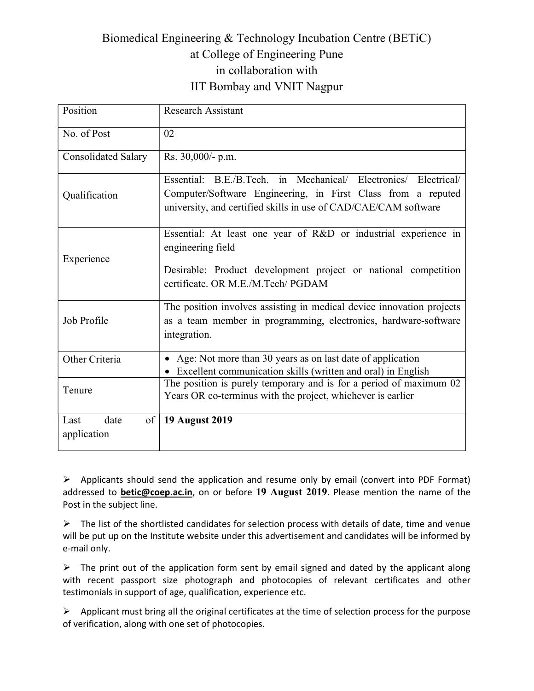## Biomedical Engineering & Technology Incubation Centre (BETiC) at College of Engineering Pune in collaboration with IIT Bombay and VNIT Nagpur

| Position                          | <b>Research Assistant</b>                                                                                                                                                                          |
|-----------------------------------|----------------------------------------------------------------------------------------------------------------------------------------------------------------------------------------------------|
| No. of Post                       | 02                                                                                                                                                                                                 |
| <b>Consolidated Salary</b>        | Rs. 30,000/- p.m.                                                                                                                                                                                  |
| Qualification                     | Essential: B.E./B.Tech. in Mechanical/ Electronics/ Electrical/<br>Computer/Software Engineering, in First Class from a reputed<br>university, and certified skills in use of CAD/CAE/CAM software |
| Experience                        | Essential: At least one year of R&D or industrial experience in<br>engineering field<br>Desirable: Product development project or national competition<br>certificate. OR M.E./M.Tech/ PGDAM       |
| Job Profile                       | The position involves assisting in medical device innovation projects<br>as a team member in programming, electronics, hardware-software<br>integration.                                           |
| Other Criteria                    | • Age: Not more than 30 years as on last date of application<br>• Excellent communication skills (written and oral) in English                                                                     |
| Tenure                            | The position is purely temporary and is for a period of maximum 02<br>Years OR co-terminus with the project, whichever is earlier                                                                  |
| Last<br>date<br>of<br>application | 19 August 2019                                                                                                                                                                                     |

 $\triangleright$  Applicants should send the application and resume only by email (convert into PDF Format) addressed to betic@coep.ac.in, on or before 19 August 2019. Please mention the name of the Post in the subject line.

 $\triangleright$  The list of the shortlisted candidates for selection process with details of date, time and venue will be put up on the Institute website under this advertisement and candidates will be informed by e-mail only.

 $\triangleright$  The print out of the application form sent by email signed and dated by the applicant along with recent passport size photograph and photocopies of relevant certificates and other testimonials in support of age, qualification, experience etc.

 $\triangleright$  Applicant must bring all the original certificates at the time of selection process for the purpose of verification, along with one set of photocopies.